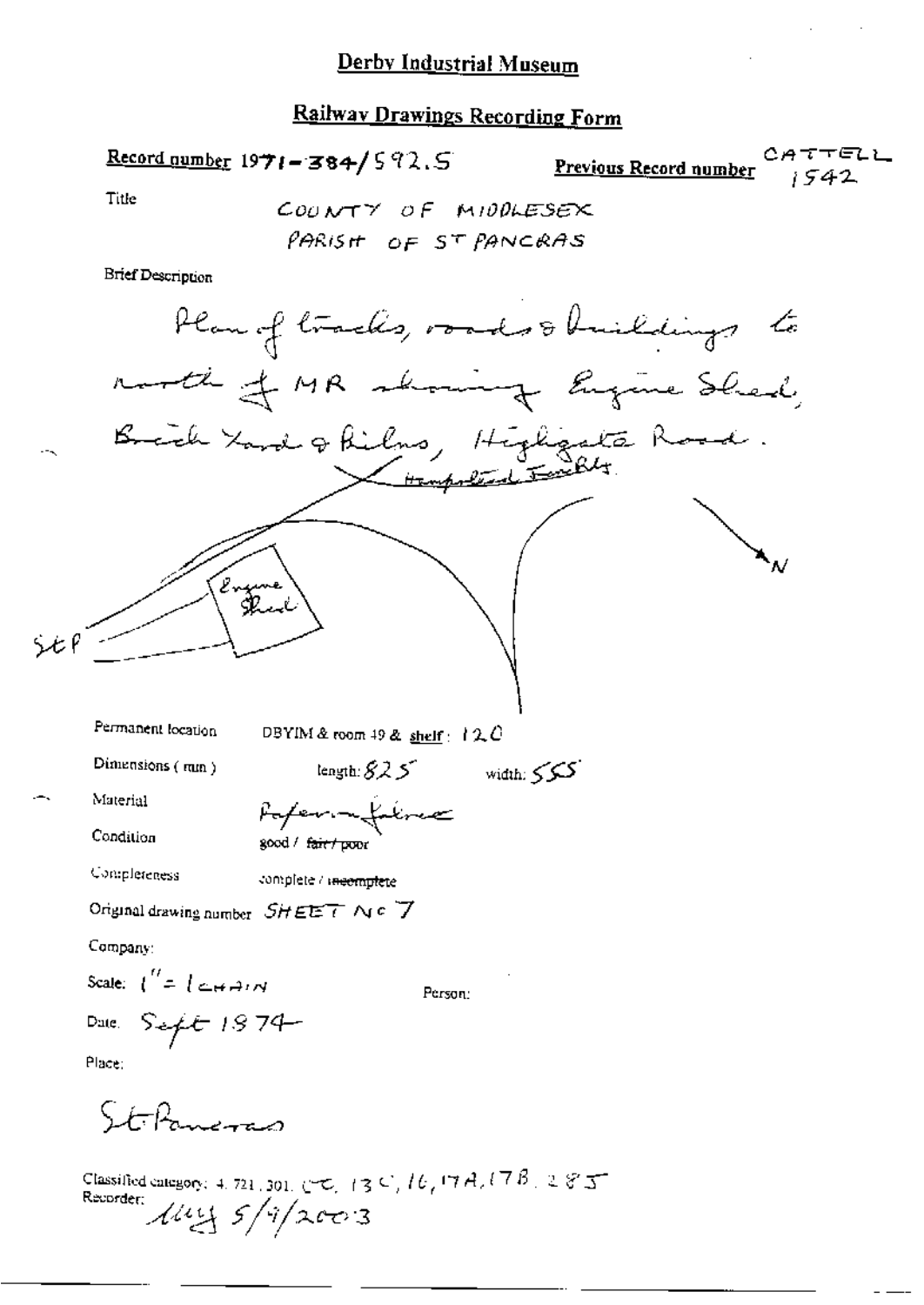## Railway Drawings Recording Form

Record number  $1971 - 384 / 592.5$ 

Previous Record number  $1542$ 

Title

COUNTY OF MIDDLESEX PARISH OF ST PANCRAS

**Brief Description** 

Material

Condition

Paper netalize good / fair / poor

Completeness complete / incomplete

Original drawing number  $SHEET \wedge c$   $\overline{7}$ 

Company:

Scale:  $\int_0^L = \int \Delta H \sin \theta$ 

Person:

Date:  $S = f t + 1974$ Place:

StiPaneras

Classified entegory: 4, 721, 301, CHC, 13 C, 16, 17 A, 17 B, 28 J